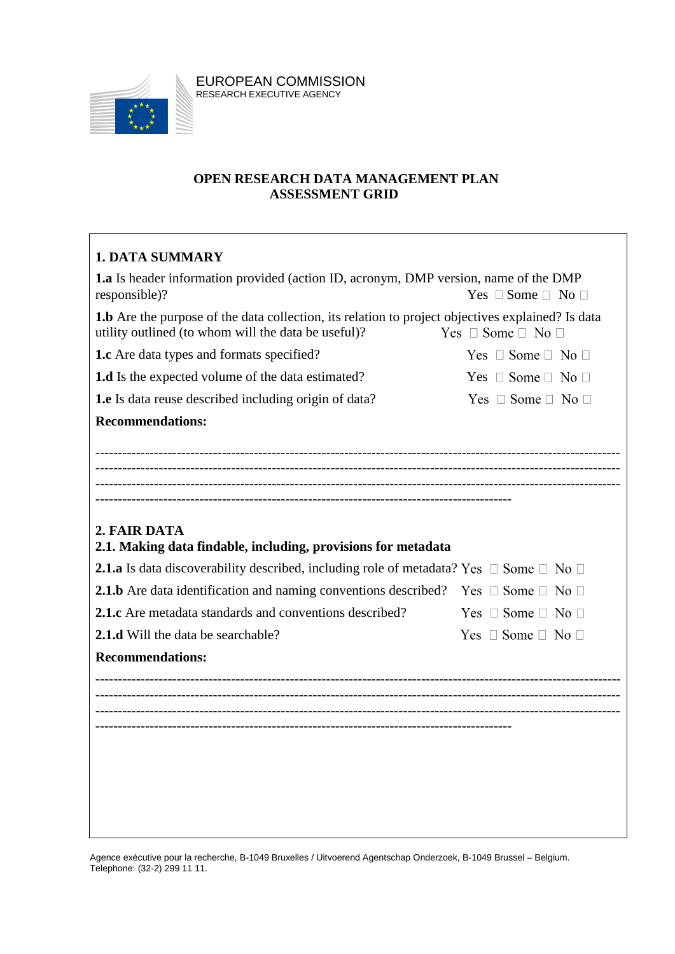

EUROPEAN COMMISSION RESEARCH EXECUTIVE AGENCY

#### **OPEN RESEARCH DATA MANAGEMENT PLAN ASSESSMENT GRID**

## **1. DATA SUMMARY**

| <b>1.a</b> Is header information provided (action ID, acronym, DMP version, name of the DMP                                                              |                                  |
|----------------------------------------------------------------------------------------------------------------------------------------------------------|----------------------------------|
| responsible)?                                                                                                                                            | Yes $\Box$ Some $\Box$ No $\Box$ |
| 1.b Are the purpose of the data collection, its relation to project objectives explained? Is data<br>utility outlined (to whom will the data be useful)? | Yes $\Box$ Some $\Box$ No $\Box$ |
| <b>1.c</b> Are data types and formats specified?                                                                                                         | Yes $\Box$ Some $\Box$ No $\Box$ |
| 1.d Is the expected volume of the data estimated?                                                                                                        | Yes $\Box$ Some $\Box$ No $\Box$ |
| <b>1.e</b> Is data reuse described including origin of data?                                                                                             | Yes $\Box$ Some $\Box$ No $\Box$ |
| <b>Recommendations:</b>                                                                                                                                  |                                  |
|                                                                                                                                                          |                                  |
|                                                                                                                                                          |                                  |
|                                                                                                                                                          |                                  |
|                                                                                                                                                          |                                  |
| 2. FAIR DATA<br>2.1. Making data findable, including, provisions for metadata                                                                            |                                  |
| <b>2.1.a</b> Is data discoverability described, including role of metadata? Yes $\Box$ Some $\Box$ No $\Box$                                             |                                  |
| <b>2.1.b</b> Are data identification and naming conventions described? Yes $\Box$ Some $\Box$ No $\Box$                                                  |                                  |
| <b>2.1.c</b> Are metadata standards and conventions described?                                                                                           | Yes $\Box$ Some $\Box$ No $\Box$ |
| <b>2.1.d</b> Will the data be searchable?                                                                                                                | Yes $\Box$ Some $\Box$ No $\Box$ |
|                                                                                                                                                          |                                  |
| <b>Recommendations:</b>                                                                                                                                  |                                  |
|                                                                                                                                                          |                                  |
|                                                                                                                                                          |                                  |
|                                                                                                                                                          |                                  |
|                                                                                                                                                          |                                  |
|                                                                                                                                                          |                                  |
|                                                                                                                                                          |                                  |
|                                                                                                                                                          |                                  |

Agence exécutive pour la recherche, B-1049 Bruxelles / Uitvoerend Agentschap Onderzoek, B-1049 Brussel – Belgium. Telephone: (32-2) 299 11 11.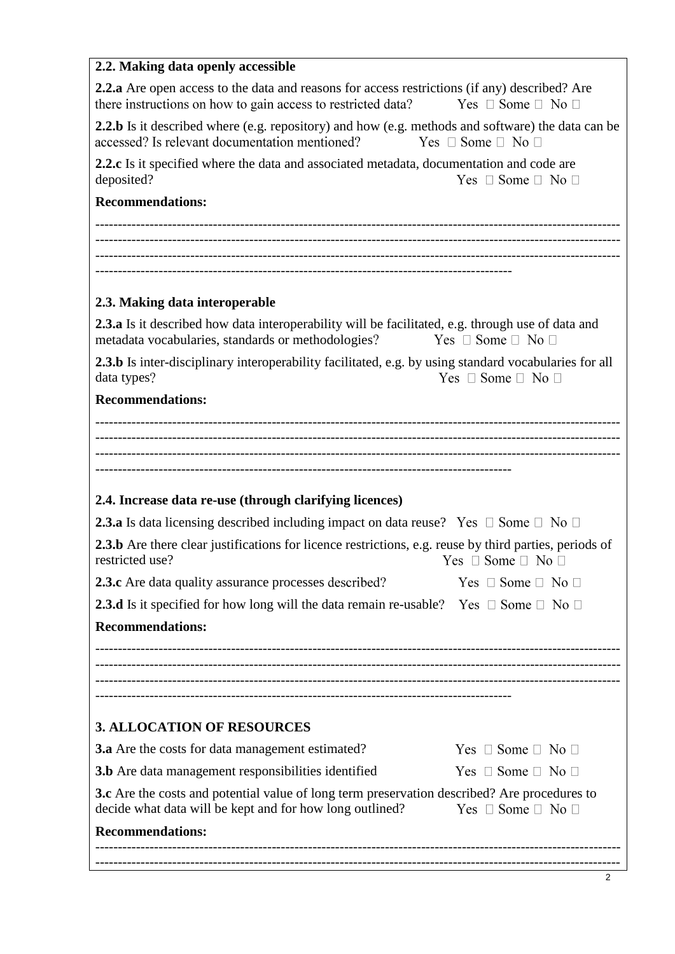# **2.2. Making data openly accessible**

| <b>2.2.a</b> Are open access to the data and reasons for access restrictions (if any) described? Are<br>there instructions on how to gain access to restricted data? | Yes $\Box$ Some $\Box$ No $\Box$ |  |
|----------------------------------------------------------------------------------------------------------------------------------------------------------------------|----------------------------------|--|
| <b>2.2.b</b> Is it described where (e.g. repository) and how (e.g. methods and software) the data can be<br>accessed? Is relevant documentation mentioned?           | Yes $\Box$ Some $\Box$ No $\Box$ |  |
| <b>2.2.c</b> Is it specified where the data and associated metadata, documentation and code are<br>deposited?                                                        | Yes $\Box$ Some $\Box$ No $\Box$ |  |
| <b>Recommendations:</b>                                                                                                                                              |                                  |  |
|                                                                                                                                                                      |                                  |  |
|                                                                                                                                                                      |                                  |  |
|                                                                                                                                                                      |                                  |  |
| 2.3. Making data interoperable                                                                                                                                       |                                  |  |
| <b>2.3.a</b> Is it described how data interoperability will be facilitated, e.g. through use of data and<br>metadata vocabularies, standards or methodologies?       | $Yes \Box Some \Box No \Box$     |  |
| <b>2.3.b</b> Is inter-disciplinary interoperability facilitated, e.g. by using standard vocabularies for all<br>data types?                                          | Yes $\Box$ Some $\Box$ No $\Box$ |  |
| <b>Recommendations:</b>                                                                                                                                              |                                  |  |
|                                                                                                                                                                      |                                  |  |
|                                                                                                                                                                      |                                  |  |
|                                                                                                                                                                      |                                  |  |
| 2.4. Increase data re-use (through clarifying licences)                                                                                                              |                                  |  |
| <b>2.3.a</b> Is data licensing described including impact on data reuse? Yes $\Box$ Some $\Box$ No $\Box$                                                            |                                  |  |
| <b>2.3.b</b> Are there clear justifications for licence restrictions, e.g. reuse by third parties, periods of<br>restricted use?                                     | Yes $\Box$ Some $\Box$ No $\Box$ |  |
| 2.3.c Are data quality assurance processes described?                                                                                                                | Yes $\Box$ Some $\Box$ No $\Box$ |  |
| <b>2.3.d</b> Is it specified for how long will the data remain re-usable? Yes $\Box$ Some $\Box$ No $\Box$                                                           |                                  |  |
| <b>Recommendations:</b>                                                                                                                                              |                                  |  |
|                                                                                                                                                                      |                                  |  |
|                                                                                                                                                                      |                                  |  |
|                                                                                                                                                                      |                                  |  |
| <b>3. ALLOCATION OF RESOURCES</b>                                                                                                                                    |                                  |  |
| <b>3.a</b> Are the costs for data management estimated?                                                                                                              | Yes $\Box$ Some $\Box$ No $\Box$ |  |
| <b>3.b</b> Are data management responsibilities identified                                                                                                           | Yes $\Box$ Some $\Box$ No $\Box$ |  |
| <b>3.c</b> Are the costs and potential value of long term preservation described? Are procedures to                                                                  |                                  |  |
| decide what data will be kept and for how long outlined?                                                                                                             | Yes $\Box$ Some $\Box$ No $\Box$ |  |
| <b>Recommendations:</b>                                                                                                                                              |                                  |  |
|                                                                                                                                                                      |                                  |  |

┑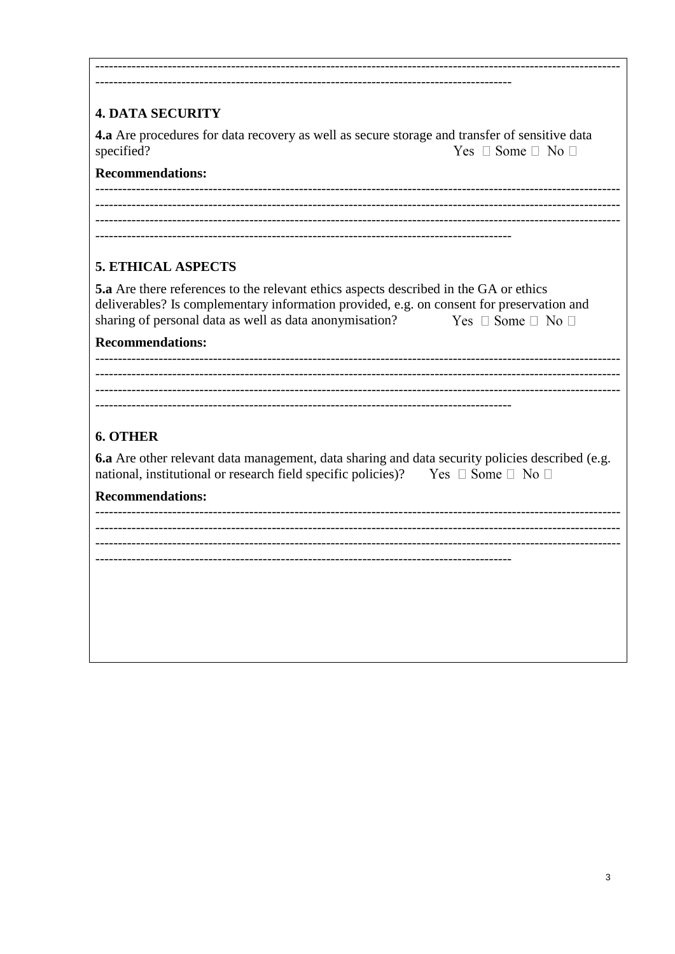# **4. DATA SECURITY**

4.a Are procedures for data recovery as well as secure storage and transfer of sensitive data specified? Yes  $\Box$  Some  $\Box$  No  $\Box$ 

## **Recommendations:**

<u> 1989 - Johann John Hermer (</u>

## **5. ETHICAL ASPECTS**

| <b>5.a</b> Are there references to the relevant ethics aspects described in the GA or ethics |                                  |
|----------------------------------------------------------------------------------------------|----------------------------------|
| deliverables? Is complementary information provided, e.g. on consent for preservation and    |                                  |
| sharing of personal data as well as data anonymisation?                                      | Yes $\Box$ Some $\Box$ No $\Box$ |

#### **Recommendations:**

# **6. OTHER**

6.a Are other relevant data management, data sharing and data security policies described (e.g. national, institutional or research field specific policies)? Yes  $\Box$  Some  $\Box$  No  $\Box$ 

#### **Recommendations:**